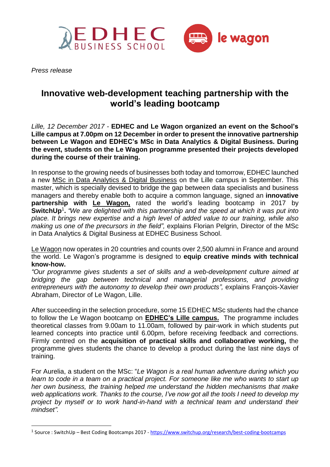



*Press release*

1

## **Innovative web-development teaching partnership with the world's leading bootcamp**

*Lille, 12 December 2017 -* **EDHEC and Le Wagon organized an event on the School's Lille campus at 7.00pm on 12 December in order to present the innovative partnership between Le Wagon and EDHEC's MSc in Data Analytics & Digital Business. During the event, students on the Le Wagon programme presented their projects developed during the course of their training.** 

In response to the growing needs of businesses both today and tomorrow, EDHEC launched a new MSc in Data Analytics & Digital [Business](https://master.edhec.edu/msc-data-analytics-digital-business) on the Lille campus in September. This master, which is specially devised to bridge the gap between data specialists and business managers and thereby enable both to acquire a common language, signed an **innovative partnership with Le [Wagon,](https://www.lewagon.com/fr/)** rated the world's leading bootcamp in 2017 by **SwitchUp**<sup>1</sup> **.** *"We are delighted with this partnership and the speed at which it was put into place. It brings new expertise and a high level of added value to our training, while also making us one of the precursors in the field",* explains Florian Pelgrin, Director of the MSc in Data Analytics & Digital Business at EDHEC Business School.

Le [Wagon](https://www.lewagon.com/fr) now operates in 20 countries and counts over 2,500 alumni in France and around the world. Le Wagon's programme is designed to **equip creative minds with technical know-how.**

*"Our programme gives students a set of skills and a web-development culture aimed at bridging the gap between technical and managerial professions, and providing entrepreneurs with the autonomy to develop their own products",* explains François-Xavier Abraham, Director of Le Wagon, Lille.

After succeeding in the selection procedure, some 15 EDHEC MSc students had the chance to follow the Le Wagon bootcamp on **EDHEC's Lille campus.** The programme includes theoretical classes from 9.00am to 11.00am, followed by pair-work in which students put learned concepts into practice until 6.00pm, before receiving feedback and corrections. Firmly centred on the **acquisition of practical skills and collaborative working,** the programme gives students the chance to develop a product during the last nine days of training.

For Aurelia, a student on the MSc: "*Le Wagon is a real human adventure during which you learn to code in a team on a practical project. For someone like me who wants to start up her own business, the training helped me understand the hidden mechanisms that make web applications work. Thanks to the course, I've now got all the tools I need to develop my project by myself or to work hand-in-hand with a technical team and understand their mindset".*

<sup>&</sup>lt;sup>1</sup> Source : SwitchUp – Best Coding Bootcamps 2017 - <https://www.switchup.org/research/best-coding-bootcamps>